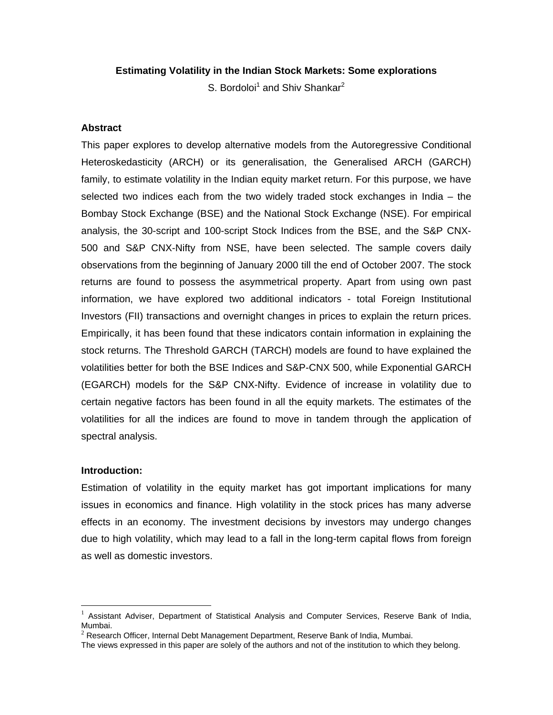### **Estimating Volatility in the Indian Stock Markets: Some explorations**

S. Bordoloi<sup>1</sup> and Shiv Shankar<sup>2</sup>

#### **Abstract**

This paper explores to develop alternative models from the Autoregressive Conditional Heteroskedasticity (ARCH) or its generalisation, the Generalised ARCH (GARCH) family, to estimate volatility in the Indian equity market return. For this purpose, we have selected two indices each from the two widely traded stock exchanges in India – the Bombay Stock Exchange (BSE) and the National Stock Exchange (NSE). For empirical analysis, the 30-script and 100-script Stock Indices from the BSE, and the S&P CNX-500 and S&P CNX-Nifty from NSE, have been selected. The sample covers daily observations from the beginning of January 2000 till the end of October 2007. The stock returns are found to possess the asymmetrical property. Apart from using own past information, we have explored two additional indicators - total Foreign Institutional Investors (FII) transactions and overnight changes in prices to explain the return prices. Empirically, it has been found that these indicators contain information in explaining the stock returns. The Threshold GARCH (TARCH) models are found to have explained the volatilities better for both the BSE Indices and S&P-CNX 500, while Exponential GARCH (EGARCH) models for the S&P CNX-Nifty. Evidence of increase in volatility due to certain negative factors has been found in all the equity markets. The estimates of the volatilities for all the indices are found to move in tandem through the application of spectral analysis.

#### **Introduction:**

 $\overline{a}$ 

Estimation of volatility in the equity market has got important implications for many issues in economics and finance. High volatility in the stock prices has many adverse effects in an economy. The investment decisions by investors may undergo changes due to high volatility, which may lead to a fall in the long-term capital flows from foreign as well as domestic investors.

<sup>1</sup> Assistant Adviser, Department of Statistical Analysis and Computer Services, Reserve Bank of India, Mumbai.

 $2$  Research Officer, Internal Debt Management Department, Reserve Bank of India, Mumbai.

The views expressed in this paper are solely of the authors and not of the institution to which they belong.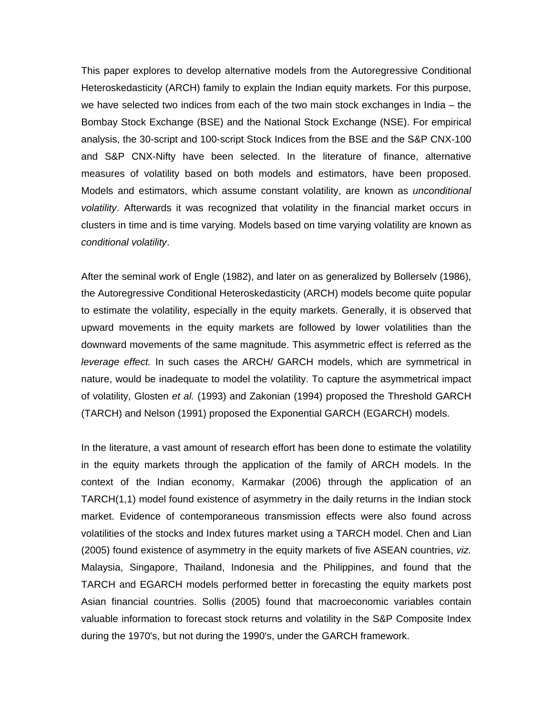This paper explores to develop alternative models from the Autoregressive Conditional Heteroskedasticity (ARCH) family to explain the Indian equity markets. For this purpose, we have selected two indices from each of the two main stock exchanges in India – the Bombay Stock Exchange (BSE) and the National Stock Exchange (NSE). For empirical analysis, the 30-script and 100-script Stock Indices from the BSE and the S&P CNX-100 and S&P CNX-Nifty have been selected. In the literature of finance, alternative measures of volatility based on both models and estimators, have been proposed. Models and estimators, which assume constant volatility, are known as *unconditional volatility*. Afterwards it was recognized that volatility in the financial market occurs in clusters in time and is time varying. Models based on time varying volatility are known as *conditional volatility*.

After the seminal work of Engle (1982), and later on as generalized by Bollerselv (1986), the Autoregressive Conditional Heteroskedasticity (ARCH) models become quite popular to estimate the volatility, especially in the equity markets. Generally, it is observed that upward movements in the equity markets are followed by lower volatilities than the downward movements of the same magnitude. This asymmetric effect is referred as the *leverage effect.* In such cases the ARCH/ GARCH models, which are symmetrical in nature, would be inadequate to model the volatility. To capture the asymmetrical impact of volatility, Glosten *et al.* (1993) and Zakonian (1994) proposed the Threshold GARCH (TARCH) and Nelson (1991) proposed the Exponential GARCH (EGARCH) models.

In the literature, a vast amount of research effort has been done to estimate the volatility in the equity markets through the application of the family of ARCH models. In the context of the Indian economy, Karmakar (2006) through the application of an TARCH(1,1) model found existence of asymmetry in the daily returns in the Indian stock market. Evidence of contemporaneous transmission effects were also found across volatilities of the stocks and Index futures market using a TARCH model. Chen and Lian (2005) found existence of asymmetry in the equity markets of five ASEAN countries, *viz.* Malaysia, Singapore, Thailand, Indonesia and the Philippines, and found that the TARCH and EGARCH models performed better in forecasting the equity markets post Asian financial countries. Sollis (2005) found that macroeconomic variables contain valuable information to forecast stock returns and volatility in the S&P Composite Index during the 1970's, but not during the 1990's, under the GARCH framework.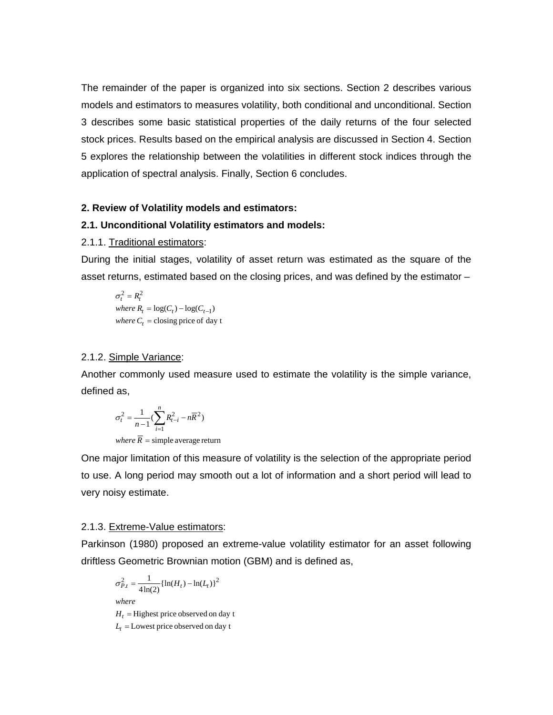The remainder of the paper is organized into six sections. Section 2 describes various models and estimators to measures volatility, both conditional and unconditional. Section 3 describes some basic statistical properties of the daily returns of the four selected stock prices. Results based on the empirical analysis are discussed in Section 4. Section 5 explores the relationship between the volatilities in different stock indices through the application of spectral analysis. Finally, Section 6 concludes.

### **2. Review of Volatility models and estimators:**

# **2.1. Unconditional Volatility estimators and models:**

#### 2.1.1. Traditional estimators:

During the initial stages, volatility of asset return was estimated as the square of the asset returns, estimated based on the closing prices, and was defined by the estimator –

where  $C_t$  = closing price of day t  $where R_t = log(C_t) - log(C_{t-1})$  $\sigma_t^2 = R_t^2$ 

# 2.1.2. Simple Variance:

Another commonly used measure used to estimate the volatility is the simple variance, defined as,

$$
\sigma_t^2 = \frac{1}{n-1} (\sum_{i=1}^n R_{t-i}^2 - n\overline{R}^2)
$$

where  $R =$  simple average return

One major limitation of this measure of volatility is the selection of the appropriate period to use. A long period may smooth out a lot of information and a short period will lead to very noisy estimate.

#### 2.1.3. Extreme-Value estimators:

Parkinson (1980) proposed an extreme-value volatility estimator for an asset following driftless Geometric Brownian motion (GBM) and is defined as,

$$
\sigma_{P,t}^2 = \frac{1}{4\ln(2)} \{ \ln(H_t) - \ln(L_t) \}^2
$$

*where*

 $H_t$  = Highest price observed on day t

 $L_t$  = Lowest price observed on day t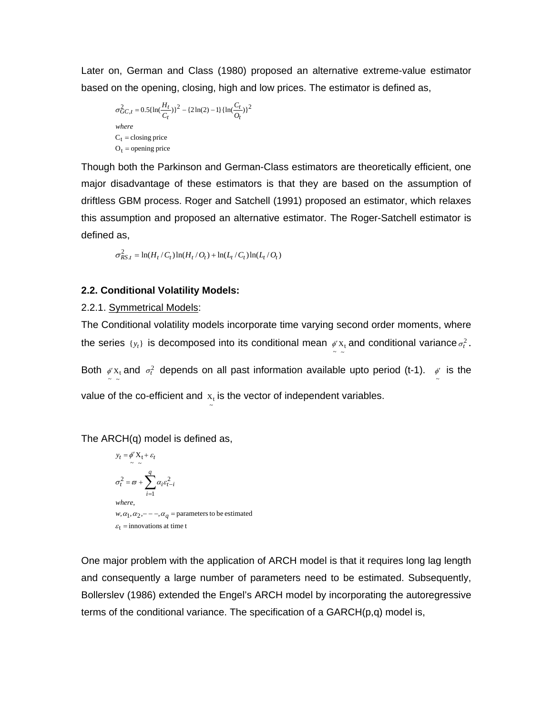Later on, German and Class (1980) proposed an alternative extreme-value estimator based on the opening, closing, high and low prices. The estimator is defined as,

$$
\sigma_{GC,t}^2 = 0.5\{\ln(\frac{H_t}{C_t})\}^2 - \{2\ln(2) - 1\}\{\ln(\frac{C_t}{O_t})\}^2
$$
  
where  
C<sub>t</sub> = closing price  
O<sub>t</sub> = opening price

Though both the Parkinson and German-Class estimators are theoretically efficient, one major disadvantage of these estimators is that they are based on the assumption of driftless GBM process. Roger and Satchell (1991) proposed an estimator, which relaxes this assumption and proposed an alternative estimator. The Roger-Satchell estimator is defined as,

$$
\sigma_{RS,t}^2 = \ln(H_t/C_t)\ln(H_t/O_t) + \ln(L_t/C_t)\ln(L_t/O_t)
$$

~

# **2.2. Conditional Volatility Models:**

2.2.1. Symmetrical Models:

The Conditional volatility models incorporate time varying second order moments, where the series  $\{y_t\}$  is decomposed into its conditional mean  $\psi x_t$  and conditional variance  $\sigma_t^2$ .

Both  $\frac{\phi'X_t}{\phi'}$  and  $\sigma_t^2$  depends on all past information available upto period (t-1).  $\frac{\phi'}{\phi}$  is the value of the co-efficient and  $x_t$  is the vector of independent variables.

The ARCH(q) model is defined as,

$$
y_t = \phi' X_t + \varepsilon_t
$$
  
\n
$$
\sigma_t^2 = \omega + \sum_{i=1}^q \alpha_i \varepsilon_{t-i}^2
$$
  
\nwhere,  
\n
$$
w, \alpha_1, \alpha_2, \dots -\alpha_q = \text{parameters to be estimated}
$$
  
\n
$$
\varepsilon_t = \text{innovations at time } t
$$

One major problem with the application of ARCH model is that it requires long lag length and consequently a large number of parameters need to be estimated. Subsequently, Bollerslev (1986) extended the Engel's ARCH model by incorporating the autoregressive terms of the conditional variance. The specification of a  $GARCH(p,q)$  model is,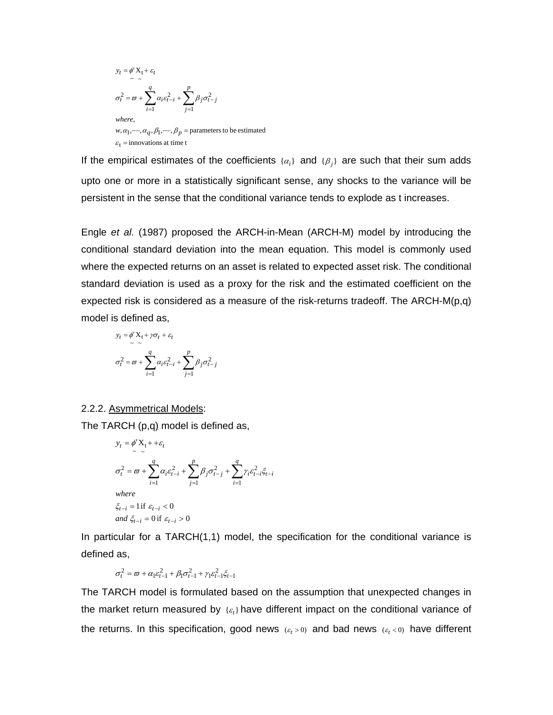$$
y_t = \phi' X_t + \varepsilon_t
$$
  
\n
$$
\sigma_t^2 = \omega + \sum_{i=1}^q \alpha_i \varepsilon_{t-i}^2 + \sum_{j=1}^p \beta_j \sigma_{t-j}^2
$$
  
\nwhere,  
\n
$$
w, \alpha_1, \dots, \alpha_q, \beta_1, \dots, \beta_p
$$
 = parameters to be estimated  
\n
$$
\varepsilon_t = \text{innovations at time } t
$$

If the empirical estimates of the coefficients  $\{\alpha_i\}$  and  $\{\beta_i\}$  are such that their sum adds upto one or more in a statistically significant sense, any shocks to the variance will be persistent in the sense that the conditional variance tends to explode as t increases.

Engle *et al.* (1987) proposed the ARCH-in-Mean (ARCH-M) model by introducing the conditional standard deviation into the mean equation. This model is commonly used where the expected returns on an asset is related to expected asset risk. The conditional standard deviation is used as a proxy for the risk and the estimated coefficient on the expected risk is considered as a measure of the risk-returns tradeoff. The ARCH-M( $p,q$ ) model is defined as,

$$
y_t = \phi' \mathbf{X}_t + \gamma \sigma_t + \varepsilon_t
$$
  

$$
\sigma_t^2 = \varpi + \sum_{i=1}^q \alpha_i \varepsilon_{t-i}^2 + \sum_{j=1}^p \beta_j \sigma_{t-j}^2
$$

### 2.2.2. Asymmetrical Models:

The TARCH (p,q) model is defined as,

$$
y_{t} = \phi' X_{t} + \varepsilon_{t}
$$
\n
$$
\sigma_{t}^{2} = \varpi + \sum_{i=1}^{q} \alpha_{i} \varepsilon_{t-i}^{2} + \sum_{j=1}^{p} \beta_{j} \sigma_{t-j}^{2} + \sum_{i=1}^{q} \gamma_{i} \varepsilon_{t-i}^{2} \xi_{t-i}
$$
\nwhere\n
$$
\xi_{t-i} = 1 \text{ if } \varepsilon_{t-i} < 0
$$
\nand\n
$$
\xi_{t-i} = 0 \text{ if } \varepsilon_{t-i} > 0
$$

In particular for a TARCH(1,1) model, the specification for the conditional variance is defined as,

$$
\sigma_t^2 = \varpi + \alpha_1 \varepsilon_{t-1}^2 + \beta_1 \sigma_{t-1}^2 + \gamma_1 \varepsilon_{t-1}^2 \xi_{t-1}
$$

The TARCH model is formulated based on the assumption that unexpected changes in the market return measured by  $\{\varepsilon_t\}$  have different impact on the conditional variance of the returns. In this specification, good news  $(\varepsilon_t > 0)$  and bad news  $(\varepsilon_t < 0)$  have different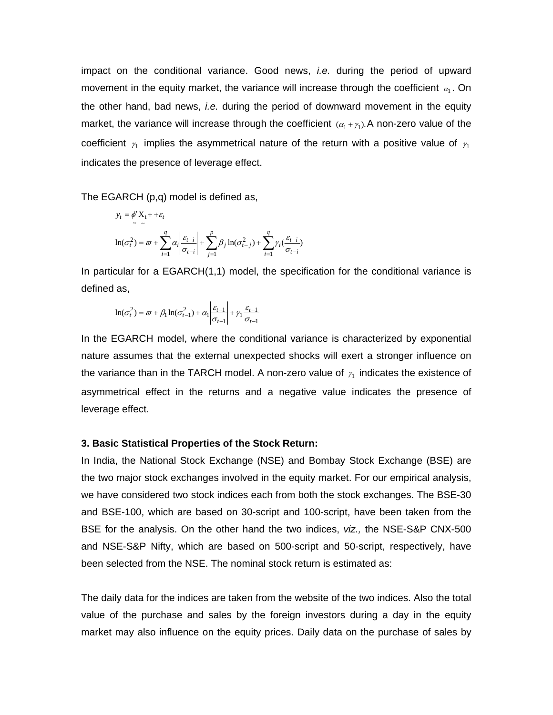impact on the conditional variance. Good news, *i.e.* during the period of upward movement in the equity market, the variance will increase through the coefficient  $\alpha_1$ . On the other hand, bad news, *i.e.* during the period of downward movement in the equity market, the variance will increase through the coefficient  $(\alpha_1 + \gamma_1)$ . A non-zero value of the coefficient  $\gamma_1$  implies the asymmetrical nature of the return with a positive value of  $\gamma_1$ indicates the presence of leverage effect.

The EGARCH (p,q) model is defined as,

$$
y_t = \phi' X_t + \varepsilon_t
$$
  

$$
\ln(\sigma_t^2) = \omega + \sum_{i=1}^q \alpha_i \left| \frac{\varepsilon_{t-i}}{\sigma_{t-i}} \right| + \sum_{j=1}^p \beta_j \ln(\sigma_{t-j}^2) + \sum_{i=1}^q \gamma_i \left( \frac{\varepsilon_{t-i}}{\sigma_{t-i}} \right)
$$

In particular for a EGARCH(1,1) model, the specification for the conditional variance is defined as,

$$
\ln(\sigma_t^2) = \varpi + \beta_1 \ln(\sigma_{t-1}^2) + \alpha_1 \left| \frac{\varepsilon_{t-1}}{\sigma_{t-1}} \right| + \gamma_1 \frac{\varepsilon_{t-1}}{\sigma_{t-1}}
$$

In the EGARCH model, where the conditional variance is characterized by exponential nature assumes that the external unexpected shocks will exert a stronger influence on the variance than in the TARCH model. A non-zero value of  $\gamma_1$  indicates the existence of asymmetrical effect in the returns and a negative value indicates the presence of leverage effect.

#### **3. Basic Statistical Properties of the Stock Return:**

In India, the National Stock Exchange (NSE) and Bombay Stock Exchange (BSE) are the two major stock exchanges involved in the equity market. For our empirical analysis, we have considered two stock indices each from both the stock exchanges. The BSE-30 and BSE-100, which are based on 30-script and 100-script, have been taken from the BSE for the analysis. On the other hand the two indices, *viz.,* the NSE-S&P CNX-500 and NSE-S&P Nifty, which are based on 500-script and 50-script, respectively, have been selected from the NSE. The nominal stock return is estimated as:

The daily data for the indices are taken from the website of the two indices. Also the total value of the purchase and sales by the foreign investors during a day in the equity market may also influence on the equity prices. Daily data on the purchase of sales by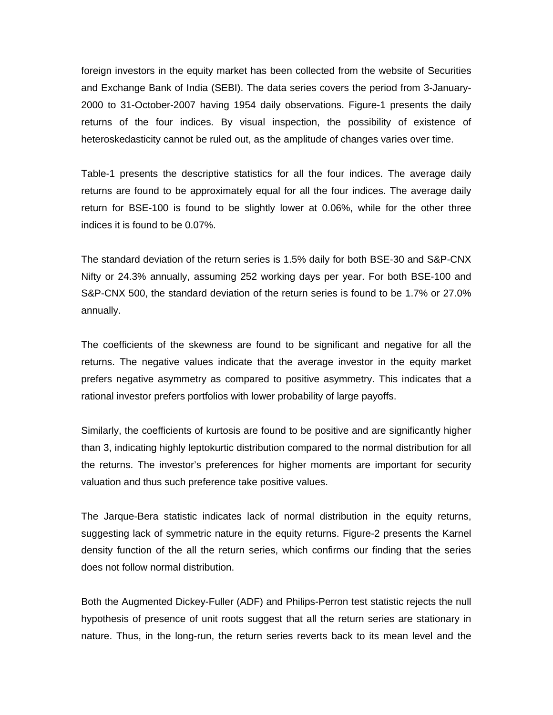foreign investors in the equity market has been collected from the website of Securities and Exchange Bank of India (SEBI). The data series covers the period from 3-January-2000 to 31-October-2007 having 1954 daily observations. Figure-1 presents the daily returns of the four indices. By visual inspection, the possibility of existence of heteroskedasticity cannot be ruled out, as the amplitude of changes varies over time.

Table-1 presents the descriptive statistics for all the four indices. The average daily returns are found to be approximately equal for all the four indices. The average daily return for BSE-100 is found to be slightly lower at 0.06%, while for the other three indices it is found to be 0.07%.

The standard deviation of the return series is 1.5% daily for both BSE-30 and S&P-CNX Nifty or 24.3% annually, assuming 252 working days per year. For both BSE-100 and S&P-CNX 500, the standard deviation of the return series is found to be 1.7% or 27.0% annually.

The coefficients of the skewness are found to be significant and negative for all the returns. The negative values indicate that the average investor in the equity market prefers negative asymmetry as compared to positive asymmetry. This indicates that a rational investor prefers portfolios with lower probability of large payoffs.

Similarly, the coefficients of kurtosis are found to be positive and are significantly higher than 3, indicating highly leptokurtic distribution compared to the normal distribution for all the returns. The investor's preferences for higher moments are important for security valuation and thus such preference take positive values.

The Jarque-Bera statistic indicates lack of normal distribution in the equity returns, suggesting lack of symmetric nature in the equity returns. Figure-2 presents the Karnel density function of the all the return series, which confirms our finding that the series does not follow normal distribution.

Both the Augmented Dickey-Fuller (ADF) and Philips-Perron test statistic rejects the null hypothesis of presence of unit roots suggest that all the return series are stationary in nature. Thus, in the long-run, the return series reverts back to its mean level and the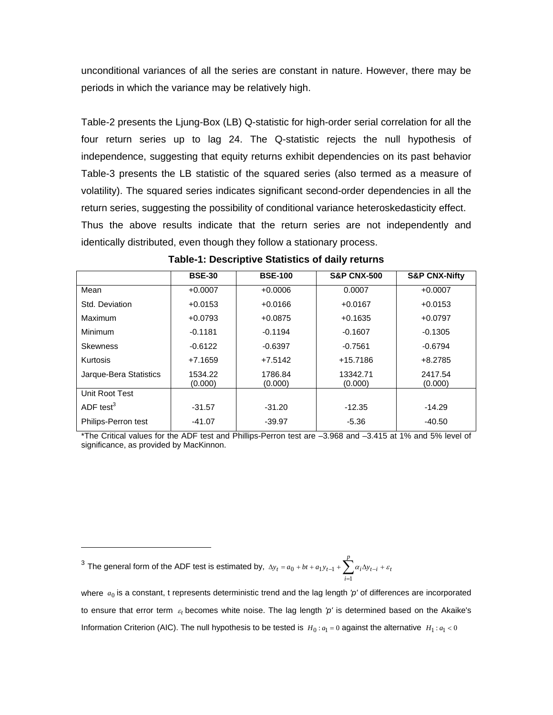unconditional variances of all the series are constant in nature. However, there may be periods in which the variance may be relatively high.

Table-2 presents the Ljung-Box (LB) Q-statistic for high-order serial correlation for all the four return series up to lag 24. The Q-statistic rejects the null hypothesis of independence, suggesting that equity returns exhibit dependencies on its past behavior Table-3 presents the LB statistic of the squared series (also termed as a measure of volatility). The squared series indicates significant second-order dependencies in all the return series, suggesting the possibility of conditional variance heteroskedasticity effect. Thus the above results indicate that the return series are not independently and identically distributed, even though they follow a stationary process.

|                        | <b>BSE-30</b>      | <b>BSE-100</b>     | <b>S&amp;P CNX-500</b> | <b>S&amp;P CNX-Nifty</b> |
|------------------------|--------------------|--------------------|------------------------|--------------------------|
| Mean                   | $+0.0007$          | $+0.0006$          | 0.0007                 | $+0.0007$                |
| Std. Deviation         | $+0.0153$          | $+0.0166$          | $+0.0167$              | $+0.0153$                |
| Maximum                | $+0.0793$          | $+0.0875$          | $+0.1635$              | $+0.0797$                |
| Minimum                | $-0.1181$          | $-0.1194$          | $-0.1607$              | $-0.1305$                |
| <b>Skewness</b>        | $-0.6122$          | $-0.6397$          | $-0.7561$              | $-0.6794$                |
| Kurtosis               | $+7.1659$          | $+7.5142$          | +15.7186               | $+8.2785$                |
| Jarque-Bera Statistics | 1534.22<br>(0.000) | 1786.84<br>(0.000) | 13342.71<br>(0.000)    | 2417.54<br>(0.000)       |
| Unit Root Test         |                    |                    |                        |                          |
| ADF test $3$           | $-31.57$           | $-31.20$           | $-12.35$               | $-14.29$                 |
| Philips-Perron test    | $-41.07$           | $-39.97$           | $-5.36$                | -40.50                   |

**Table-1: Descriptive Statistics of daily returns** 

\*The Critical values for the ADF test and Phillips-Perron test are –3.968 and –3.415 at 1% and 5% level of significance, as provided by MacKinnon.

<sup>3</sup> The general form of the ADF test is estimated by,  $\Delta y_t = a_0 + bt + a_1y_{t-1} + \sum_{i=1}^{p} a_i \Delta y_{t-i} + \varepsilon_t$ *i*  $\Delta y_t = a_0 + bt + a_1 y_{t-1} + \sum a_i \Delta y_{t-i} + \varepsilon$  $-1 + \sum_{i=1}^{1}$  $0 + bt + a_1 y_{t-1}$ 

 $\overline{a}$ 

where  $a_0$  is a constant, t represents deterministic trend and the lag length 'p' of differences are incorporated to ensure that error term  $\varepsilon_t$  becomes white noise. The lag length 'p' is determined based on the Akaike's Information Criterion (AIC). The null hypothesis to be tested is  $H_0: a_1 = 0$  against the alternative  $H_1: a_1 < 0$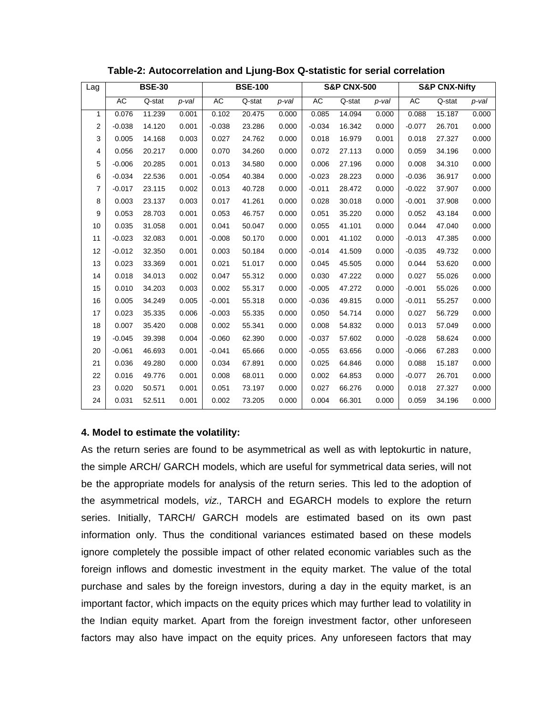| Lag |          | <b>BSE-30</b> |          | <b>BSE-100</b> |        |       | <b>S&amp;P CNX-500</b> |        | <b>S&amp;P CNX-Nifty</b> |           |        |       |
|-----|----------|---------------|----------|----------------|--------|-------|------------------------|--------|--------------------------|-----------|--------|-------|
|     | AC       | Q-stat        | $p$ -val | AC             | Q-stat | p-val | AC                     | Q-stat | $p$ -val                 | <b>AC</b> | Q-stat | p-val |
| 1   | 0.076    | 11.239        | 0.001    | 0.102          | 20.475 | 0.000 | 0.085                  | 14.094 | 0.000                    | 0.088     | 15.187 | 0.000 |
| 2   | $-0.038$ | 14.120        | 0.001    | $-0.038$       | 23.286 | 0.000 | $-0.034$               | 16.342 | 0.000                    | $-0.077$  | 26.701 | 0.000 |
| 3   | 0.005    | 14.168        | 0.003    | 0.027          | 24.762 | 0.000 | 0.018                  | 16.979 | 0.001                    | 0.018     | 27.327 | 0.000 |
| 4   | 0.056    | 20.217        | 0.000    | 0.070          | 34.260 | 0.000 | 0.072                  | 27.113 | 0.000                    | 0.059     | 34.196 | 0.000 |
| 5   | $-0.006$ | 20.285        | 0.001    | 0.013          | 34.580 | 0.000 | 0.006                  | 27.196 | 0.000                    | 0.008     | 34.310 | 0.000 |
| 6   | $-0.034$ | 22.536        | 0.001    | $-0.054$       | 40.384 | 0.000 | $-0.023$               | 28.223 | 0.000                    | $-0.036$  | 36.917 | 0.000 |
| 7   | $-0.017$ | 23.115        | 0.002    | 0.013          | 40.728 | 0.000 | $-0.011$               | 28.472 | 0.000                    | $-0.022$  | 37.907 | 0.000 |
| 8   | 0.003    | 23.137        | 0.003    | 0.017          | 41.261 | 0.000 | 0.028                  | 30.018 | 0.000                    | $-0.001$  | 37.908 | 0.000 |
| 9   | 0.053    | 28.703        | 0.001    | 0.053          | 46.757 | 0.000 | 0.051                  | 35.220 | 0.000                    | 0.052     | 43.184 | 0.000 |
| 10  | 0.035    | 31.058        | 0.001    | 0.041          | 50.047 | 0.000 | 0.055                  | 41.101 | 0.000                    | 0.044     | 47.040 | 0.000 |
| 11  | $-0.023$ | 32.083        | 0.001    | $-0.008$       | 50.170 | 0.000 | 0.001                  | 41.102 | 0.000                    | $-0.013$  | 47.385 | 0.000 |
| 12  | $-0.012$ | 32.350        | 0.001    | 0.003          | 50.184 | 0.000 | $-0.014$               | 41.509 | 0.000                    | $-0.035$  | 49.732 | 0.000 |
| 13  | 0.023    | 33.369        | 0.001    | 0.021          | 51.017 | 0.000 | 0.045                  | 45.505 | 0.000                    | 0.044     | 53.620 | 0.000 |
| 14  | 0.018    | 34.013        | 0.002    | 0.047          | 55.312 | 0.000 | 0.030                  | 47.222 | 0.000                    | 0.027     | 55.026 | 0.000 |
| 15  | 0.010    | 34.203        | 0.003    | 0.002          | 55.317 | 0.000 | $-0.005$               | 47.272 | 0.000                    | $-0.001$  | 55.026 | 0.000 |
| 16  | 0.005    | 34.249        | 0.005    | $-0.001$       | 55.318 | 0.000 | $-0.036$               | 49.815 | 0.000                    | $-0.011$  | 55.257 | 0.000 |
| 17  | 0.023    | 35.335        | 0.006    | $-0.003$       | 55.335 | 0.000 | 0.050                  | 54.714 | 0.000                    | 0.027     | 56.729 | 0.000 |
| 18  | 0.007    | 35.420        | 0.008    | 0.002          | 55.341 | 0.000 | 0.008                  | 54.832 | 0.000                    | 0.013     | 57.049 | 0.000 |
| 19  | $-0.045$ | 39.398        | 0.004    | $-0.060$       | 62.390 | 0.000 | $-0.037$               | 57.602 | 0.000                    | $-0.028$  | 58.624 | 0.000 |
| 20  | $-0.061$ | 46.693        | 0.001    | $-0.041$       | 65.666 | 0.000 | $-0.055$               | 63.656 | 0.000                    | $-0.066$  | 67.283 | 0.000 |
| 21  | 0.036    | 49.280        | 0.000    | 0.034          | 67.891 | 0.000 | 0.025                  | 64.846 | 0.000                    | 0.088     | 15.187 | 0.000 |
| 22  | 0.016    | 49.776        | 0.001    | 0.008          | 68.011 | 0.000 | 0.002                  | 64.853 | 0.000                    | $-0.077$  | 26.701 | 0.000 |
| 23  | 0.020    | 50.571        | 0.001    | 0.051          | 73.197 | 0.000 | 0.027                  | 66.276 | 0.000                    | 0.018     | 27.327 | 0.000 |
| 24  | 0.031    | 52.511        | 0.001    | 0.002          | 73.205 | 0.000 | 0.004                  | 66.301 | 0.000                    | 0.059     | 34.196 | 0.000 |

### **Table-2: Autocorrelation and Ljung-Box Q-statistic for serial correlation**

# **4. Model to estimate the volatility:**

As the return series are found to be asymmetrical as well as with leptokurtic in nature, the simple ARCH/ GARCH models, which are useful for symmetrical data series, will not be the appropriate models for analysis of the return series. This led to the adoption of the asymmetrical models, *viz.,* TARCH and EGARCH models to explore the return series. Initially, TARCH/ GARCH models are estimated based on its own past information only. Thus the conditional variances estimated based on these models ignore completely the possible impact of other related economic variables such as the foreign inflows and domestic investment in the equity market. The value of the total purchase and sales by the foreign investors, during a day in the equity market, is an important factor, which impacts on the equity prices which may further lead to volatility in the Indian equity market. Apart from the foreign investment factor, other unforeseen factors may also have impact on the equity prices. Any unforeseen factors that may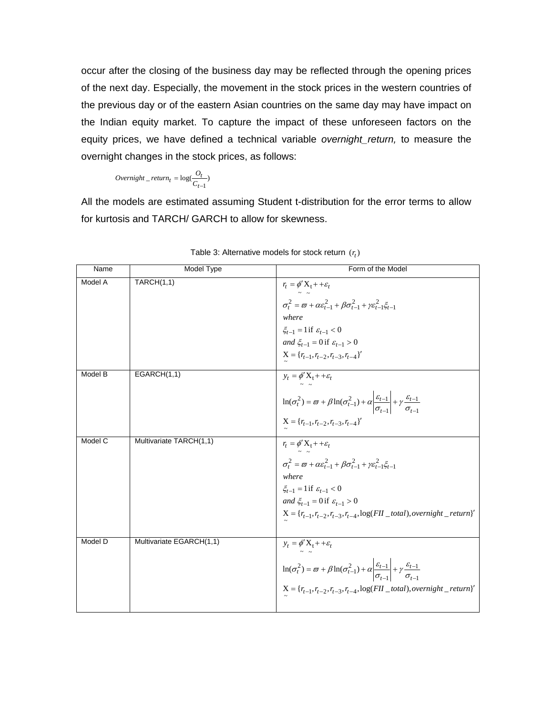occur after the closing of the business day may be reflected through the opening prices of the next day. Especially, the movement in the stock prices in the western countries of the previous day or of the eastern Asian countries on the same day may have impact on the Indian equity market. To capture the impact of these unforeseen factors on the equity prices, we have defined a technical variable *overnight\_return,* to measure the overnight changes in the stock prices, as follows:

$$
Overnight\_return_t = \log(\frac{O_t}{C_{t-1}})
$$

All the models are estimated assuming Student t-distribution for the error terms to allow for kurtosis and TARCH/ GARCH to allow for skewness.

| Name    | Model Type               | Form of the Model                                                                                                                                                                                                                                                                                                                                                          |
|---------|--------------------------|----------------------------------------------------------------------------------------------------------------------------------------------------------------------------------------------------------------------------------------------------------------------------------------------------------------------------------------------------------------------------|
| Model A | <b>TARCH(1,1)</b>        | $r_t = \phi' X_t + \varepsilon_t$<br>$\sigma_t^2 = \varpi + \alpha \varepsilon_{t-1}^2 + \beta \sigma_{t-1}^2 + \gamma \varepsilon_{t-1}^2 \xi_{t-1}$<br>where<br>$\xi_{t-1} = 1$ if $\varepsilon_{t-1} < 0$<br>and $\xi_{t-1} = 0$ if $\varepsilon_{t-1} > 0$<br>$X = \{r_{t-1}, r_{t-2}, r_{t-3}, r_{t-4}\}$                                                             |
| Model B | EGARCH(1,1)              | $y_t = \phi' X_t + \varepsilon_t$<br>$\ln(\sigma_t^2) = \varpi + \beta \ln(\sigma_{t-1}^2) + \alpha \left  \frac{\varepsilon_{t-1}}{\sigma_{t-1}} \right  + \gamma \frac{\varepsilon_{t-1}}{\sigma_{t-1}}$<br>$X = \{r_{t-1}, r_{t-2}, r_{t-3}, r_{t-4}\}$                                                                                                                 |
| Model C | Multivariate TARCH(1,1)  | $r_t = \phi' X_t + \varepsilon_t$<br>$\sigma_t^2 = \varpi + \alpha \varepsilon_{t-1}^2 + \beta \sigma_{t-1}^2 + \gamma \varepsilon_{t-1}^2 \xi_{t-1}$<br>where<br>$\xi_{t-1} = 1$ if $\varepsilon_{t-1} < 0$<br>and $\xi_{t-1} = 0$ if $\varepsilon_{t-1} > 0$<br>$\mathbf{X} = \left\{ r_{t-1}, r_{t-2}, r_{t-3}, r_{t-4}, \log(FII\_total), overnight\_return \right\}'$ |
| Model D | Multivariate EGARCH(1,1) | $y_t = \phi' X_t + \varepsilon_t$<br>$\ln(\sigma_t^2) = \varpi + \beta \ln(\sigma_{t-1}^2) + \alpha \left  \frac{\varepsilon_{t-1}}{\sigma_{t-1}} \right  + \gamma \frac{\varepsilon_{t-1}}{\sigma_{t-1}}$<br>$\mathbf{X} = \{r_{t-1}, r_{t-2}, r_{t-3}, r_{t-4}, \log(FII\_total), overnight\_return\}'$                                                                  |

| Table 3: Alternative models for stock return $(r_t)$ |  |
|------------------------------------------------------|--|
|------------------------------------------------------|--|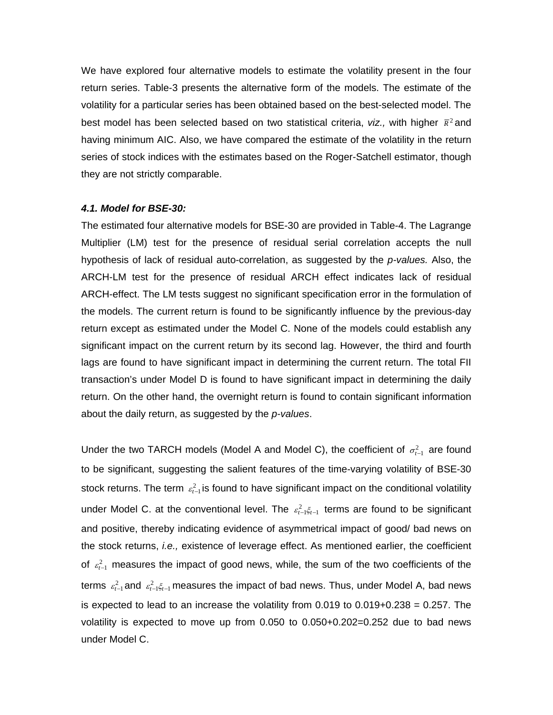We have explored four alternative models to estimate the volatility present in the four return series. Table-3 presents the alternative form of the models. The estimate of the volatility for a particular series has been obtained based on the best-selected model. The best model has been selected based on two statistical criteria, *viz.*, with higher  $\bar{\kappa}^2$  and having minimum AIC. Also, we have compared the estimate of the volatility in the return series of stock indices with the estimates based on the Roger-Satchell estimator, though they are not strictly comparable.

### *4.1. Model for BSE-30:*

The estimated four alternative models for BSE-30 are provided in Table-4. The Lagrange Multiplier (LM) test for the presence of residual serial correlation accepts the null hypothesis of lack of residual auto-correlation, as suggested by the *p-values.* Also, the ARCH-LM test for the presence of residual ARCH effect indicates lack of residual ARCH-effect. The LM tests suggest no significant specification error in the formulation of the models. The current return is found to be significantly influence by the previous-day return except as estimated under the Model C. None of the models could establish any significant impact on the current return by its second lag. However, the third and fourth lags are found to have significant impact in determining the current return. The total FII transaction's under Model D is found to have significant impact in determining the daily return. On the other hand, the overnight return is found to contain significant information about the daily return, as suggested by the *p-values*.

Under the two TARCH models (Model A and Model C), the coefficient of  $\sigma_{t-1}^2$  are found to be significant, suggesting the salient features of the time-varying volatility of BSE-30 stock returns. The term  $\epsilon_{t-1}^2$  is found to have significant impact on the conditional volatility under Model C. at the conventional level. The  $\varepsilon_{t-1}^2 \xi_{t-1}$  terms are found to be significant and positive, thereby indicating evidence of asymmetrical impact of good/ bad news on the stock returns, *i.e.,* existence of leverage effect. As mentioned earlier, the coefficient of  $\varepsilon_{t-1}^2$  measures the impact of good news, while, the sum of the two coefficients of the terms  $\varepsilon_{t-1}^2$  and  $\varepsilon_{t-1}^2 \xi_{t-1}$  measures the impact of bad news. Thus, under Model A, bad news is expected to lead to an increase the volatility from  $0.019$  to  $0.019+0.238 = 0.257$ . The volatility is expected to move up from 0.050 to 0.050+0.202=0.252 due to bad news under Model C.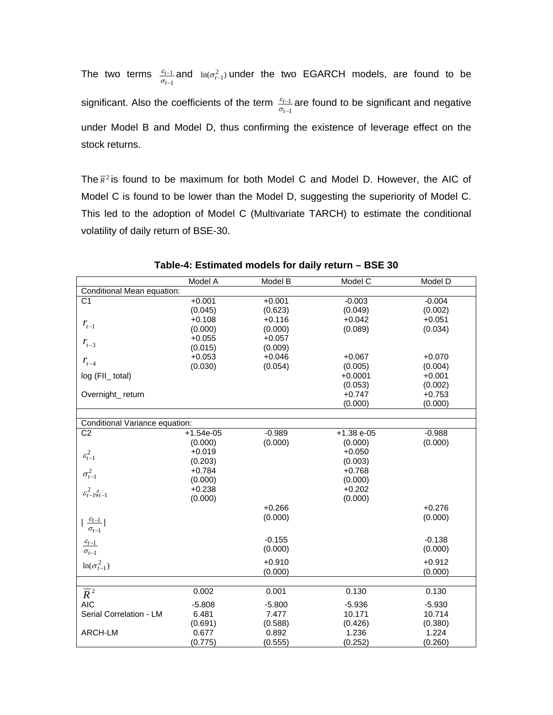The two terms  $\frac{\varepsilon_{t-1}}{\sigma_{t-1}}$ 1 − − *t t*  $\frac{\varepsilon_{t-1}}{\sigma_{t-1}}$  and  $\ln(\sigma_{t-1}^2)$  under the two EGARCH models, are found to be significant. Also the coefficients of the term  $\frac{\varepsilon_{t-1}}{\sigma_{t-1}}$ 1 − − *t t*  $\frac{\varepsilon_{t-1}}{\sigma_{t-1}}$  are found to be significant and negative under Model B and Model D, thus confirming the existence of leverage effect on the stock returns.

The  $\bar{R}^2$  is found to be maximum for both Model C and Model D. However, the AIC of Model C is found to be lower than the Model D, suggesting the superiority of Model C. This led to the adoption of Model C (Multivariate TARCH) to estimate the conditional volatility of daily return of BSE-30.

|                                 | Model A     | Model B  | Model C      | Model D  |
|---------------------------------|-------------|----------|--------------|----------|
| Conditional Mean equation:      |             |          |              |          |
| $\overline{C1}$                 | $+0.001$    | $+0.001$ | $-0.003$     | $-0.004$ |
|                                 | (0.045)     | (0.623)  | (0.049)      | (0.002)  |
|                                 | $+0.108$    | $+0.116$ | $+0.042$     | $+0.051$ |
| $r_{t-1}$                       | (0.000)     | (0.000)  | (0.089)      | (0.034)  |
|                                 | $+0.055$    | $+0.057$ |              |          |
| $r_{t-3}$                       | (0.015)     | (0.009)  |              |          |
|                                 | $+0.053$    | $+0.046$ | $+0.067$     | $+0.070$ |
| $r_{t-4}$                       | (0.030)     | (0.054)  | (0.005)      | (0.004)  |
| log (FII_ total)                |             |          | $+0.0001$    | $+0.001$ |
|                                 |             |          | (0.053)      | (0.002)  |
| Overnight_return                |             |          | $+0.747$     | $+0.753$ |
|                                 |             |          | (0.000)      | (0.000)  |
|                                 |             |          |              |          |
| Conditional Variance equation:  |             |          |              |          |
| C <sub>2</sub>                  | $+1.54e-05$ | $-0.989$ | $+1.38 e-05$ | $-0.988$ |
|                                 | (0.000)     | (0.000)  | (0.000)      | (0.000)  |
|                                 | $+0.019$    |          | $+0.050$     |          |
| $\varepsilon_{t-1}^2$           | (0.203)     |          | (0.003)      |          |
| $\sigma_{t-1}^2$                | $+0.784$    |          | $+0.768$     |          |
|                                 | (0.000)     |          | (0.000)      |          |
| $\varepsilon_{t-1}^2 \xi_{t-1}$ | $+0.238$    |          | $+0.202$     |          |
|                                 | (0.000)     |          | (0.000)      |          |
|                                 |             | $+0.266$ |              | $+0.276$ |
|                                 |             | (0.000)  |              | (0.000)  |
| $\frac{\varepsilon_{t-1}}{ }$   |             |          |              |          |
| $\sigma_{t-1}$                  |             |          |              |          |
| $\frac{\varepsilon_{t-1}}{2}$   |             | $-0.155$ |              | $-0.138$ |
| $\sigma_{t-1}$                  |             | (0.000)  |              | (0.000)  |
|                                 |             | $+0.910$ |              | $+0.912$ |
| $ln(\sigma_{t-1}^2)$            |             | (0.000)  |              | (0.000)  |
|                                 |             |          |              |          |
| $\overline{R}^2$                | 0.002       | 0.001    | 0.130        | 0.130    |
| <b>AIC</b>                      | $-5.808$    | $-5.800$ | $-5.936$     | $-5.930$ |
| Serial Correlation - LM         | 6.481       | 7.477    | 10.171       | 10.714   |
|                                 | (0.691)     | (0.588)  | (0.426)      | (0.380)  |
| ARCH-LM                         | 0.677       | 0.892    | 1.236        | 1.224    |
|                                 | (0.775)     | (0.555)  | (0.252)      | (0.260)  |
|                                 |             |          |              |          |

**Table-4: Estimated models for daily return – BSE 30**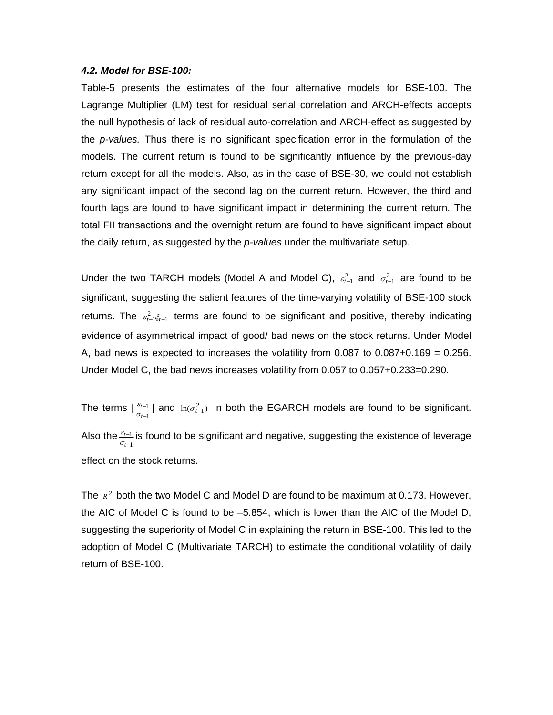#### *4.2. Model for BSE-100:*

Table-5 presents the estimates of the four alternative models for BSE-100. The Lagrange Multiplier (LM) test for residual serial correlation and ARCH-effects accepts the null hypothesis of lack of residual auto-correlation and ARCH-effect as suggested by the *p-values.* Thus there is no significant specification error in the formulation of the models. The current return is found to be significantly influence by the previous-day return except for all the models. Also, as in the case of BSE-30, we could not establish any significant impact of the second lag on the current return. However, the third and fourth lags are found to have significant impact in determining the current return. The total FII transactions and the overnight return are found to have significant impact about the daily return, as suggested by the *p-values* under the multivariate setup.

Under the two TARCH models (Model A and Model C),  $\varepsilon_{t-1}^2$  and  $\sigma_{t-1}^2$  are found to be significant, suggesting the salient features of the time-varying volatility of BSE-100 stock returns. The  $\varepsilon_{t-1}^2 \xi_{t-1}$  terms are found to be significant and positive, thereby indicating evidence of asymmetrical impact of good/ bad news on the stock returns. Under Model A, bad news is expected to increases the volatility from  $0.087$  to  $0.087+0.169 = 0.256$ . Under Model C, the bad news increases volatility from 0.057 to 0.057+0.233=0.290.

The terms  $|\frac{\varepsilon_{t-1}}{\sigma_{t-1}}$ 1 − − *t t*  $\frac{\varepsilon_{t-1}}{\sigma_{t-1}}$  and  $\ln(\sigma_{t-1}^2)$  in both the EGARCH models are found to be significant. Also the  $\frac{\varepsilon_{t-1}}{\sigma_{t-1}}$ 1 − − *t t*  $\frac{\varepsilon_{t-1}}{\sigma_{t-1}}$  is found to be significant and negative, suggesting the existence of leverage effect on the stock returns.

The  $\bar{k}^2$  both the two Model C and Model D are found to be maximum at 0.173. However, the AIC of Model C is found to be –5.854, which is lower than the AIC of the Model D, suggesting the superiority of Model C in explaining the return in BSE-100. This led to the adoption of Model C (Multivariate TARCH) to estimate the conditional volatility of daily return of BSE-100.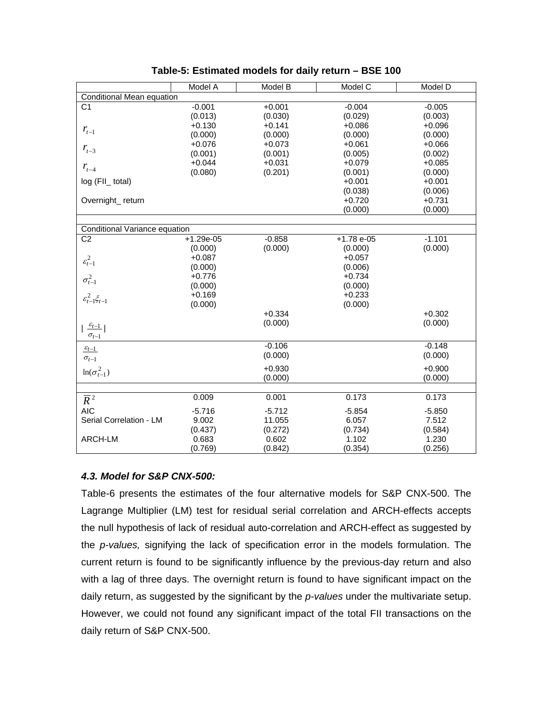|                                 | Model A     | Model B  | Model C     | Model D  |
|---------------------------------|-------------|----------|-------------|----------|
| Conditional Mean equation       |             |          |             |          |
| C <sub>1</sub>                  | $-0.001$    | $+0.001$ | $-0.004$    | $-0.005$ |
|                                 | (0.013)     | (0.030)  | (0.029)     | (0.003)  |
|                                 | $+0.130$    | $+0.141$ | $+0.086$    | $+0.096$ |
| $\emph{r}_{t-1}$                | (0.000)     | (0.000)  | (0.000)     | (0.000)  |
|                                 | $+0.076$    | $+0.073$ | $+0.061$    | $+0.066$ |
| $r_{t-3}$                       | (0.001)     | (0.001)  | (0.005)     | (0.002)  |
|                                 | $+0.044$    | $+0.031$ | $+0.079$    | $+0.085$ |
| $r_{t-4}$                       | (0.080)     | (0.201)  | (0.001)     | (0.000)  |
| log (FII_ total)                |             |          | $+0.001$    | $+0.001$ |
|                                 |             |          | (0.038)     | (0.006)  |
| Overnight_return                |             |          | $+0.720$    | $+0.731$ |
|                                 |             |          | (0.000)     | (0.000)  |
|                                 |             |          |             |          |
| Conditional Variance equation   |             |          |             |          |
| C <sub>2</sub>                  | $+1.29e-05$ | $-0.858$ | $+1.78e-05$ | $-1.101$ |
|                                 | (0.000)     | (0.000)  | (0.000)     | (0.000)  |
|                                 | $+0.087$    |          | $+0.057$    |          |
| $\varepsilon_{t-1}^2$           | (0.000)     |          | (0.006)     |          |
| $\sigma_{t-1}^2$                | $+0.776$    |          | $+0.734$    |          |
|                                 | (0.000)     |          | (0.000)     |          |
|                                 | $+0.169$    |          | $+0.233$    |          |
| $\varepsilon_{t-1}^2 \xi_{t-1}$ | (0.000)     |          | (0.000)     |          |
|                                 |             | $+0.334$ |             | $+0.302$ |
|                                 |             | (0.000)  |             | (0.000)  |
| $\frac{\varepsilon_{t-1}}{ }$   |             |          |             |          |
| $\sigma_{t-1}$                  |             |          |             |          |
| $\frac{\varepsilon_{t-1}}{2}$   |             | $-0.106$ |             | $-0.148$ |
| $\sigma_{t-1}$                  |             | (0.000)  |             | (0.000)  |
| $ln(\sigma_{t-1}^2)$            |             | $+0.930$ |             | $+0.900$ |
|                                 |             | (0.000)  |             | (0.000)  |
|                                 |             |          |             |          |
| $\overline{R}^2$                | 0.009       | 0.001    | 0.173       | 0.173    |
| <b>AIC</b>                      | $-5.716$    | $-5.712$ | $-5.854$    | $-5.850$ |
| Serial Correlation - LM         | 9.002       | 11.055   | 6.057       | 7.512    |
|                                 | (0.437)     | (0.272)  | (0.734)     | (0.584)  |
| ARCH-LM                         | 0.683       | 0.602    | 1.102       | 1.230    |
|                                 | (0.769)     | (0.842)  | (0.354)     | (0.256)  |

| Table-5: Estimated models for daily return - BSE 100 |  |  |
|------------------------------------------------------|--|--|
|------------------------------------------------------|--|--|

# *4.3. Model for S&P CNX-500:*

Table-6 presents the estimates of the four alternative models for S&P CNX-500. The Lagrange Multiplier (LM) test for residual serial correlation and ARCH-effects accepts the null hypothesis of lack of residual auto-correlation and ARCH-effect as suggested by the *p-values,* signifying the lack of specification error in the models formulation. The current return is found to be significantly influence by the previous-day return and also with a lag of three days. The overnight return is found to have significant impact on the daily return, as suggested by the significant by the *p-values* under the multivariate setup. However, we could not found any significant impact of the total FII transactions on the daily return of S&P CNX-500.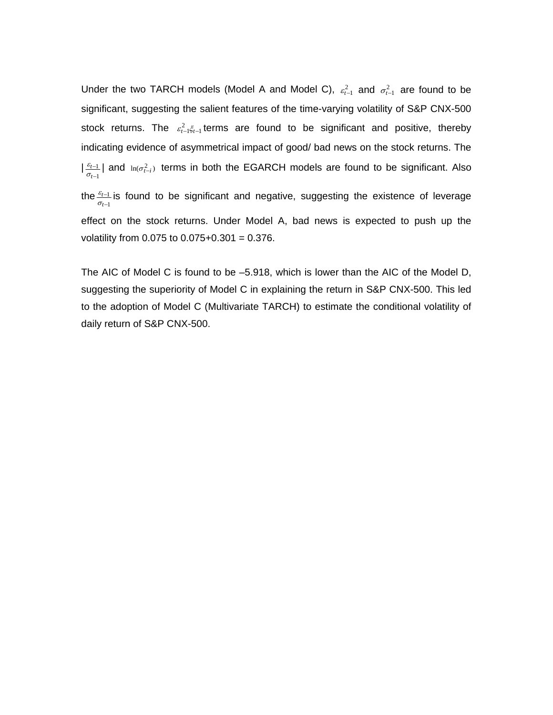Under the two TARCH models (Model A and Model C),  $\varepsilon_{t-1}^2$  and  $\sigma_{t-1}^2$  are found to be significant, suggesting the salient features of the time-varying volatility of S&P CNX-500 stock returns. The  $\varepsilon_{t-1}^2 \xi_{t-1}$  terms are found to be significant and positive, thereby indicating evidence of asymmetrical impact of good/ bad news on the stock returns. The  $\left| \frac{\varepsilon_{t-1}}{\sigma_{t-1}} \right|$ 1 − − *t t*  $\frac{\varepsilon_{t-1}}{\sigma_{t-1}}$  and  $\ln(\sigma_{t-i}^2)$  terms in both the EGARCH models are found to be significant. Also the  $\frac{\varepsilon_{t-1}}{\sigma_{t-1}}$ 1 − − *t t*  $\frac{\varepsilon_{t-1}}{\sigma_{t-1}}$  is found to be significant and negative, suggesting the existence of leverage effect on the stock returns. Under Model A, bad news is expected to push up the volatility from  $0.075$  to  $0.075+0.301 = 0.376$ .

The AIC of Model C is found to be –5.918, which is lower than the AIC of the Model D, suggesting the superiority of Model C in explaining the return in S&P CNX-500. This led to the adoption of Model C (Multivariate TARCH) to estimate the conditional volatility of daily return of S&P CNX-500.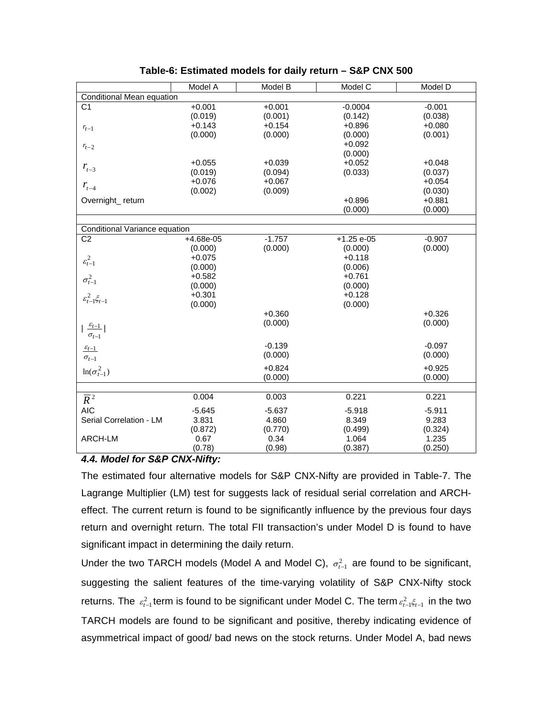|                                          | Model A                   | Model B  | Model C      | Model D  |  |  |  |  |
|------------------------------------------|---------------------------|----------|--------------|----------|--|--|--|--|
|                                          | Conditional Mean equation |          |              |          |  |  |  |  |
| C <sub>1</sub>                           | $+0.001$                  | $+0.001$ | $-0.0004$    | $-0.001$ |  |  |  |  |
|                                          | (0.019)                   | (0.001)  | (0.142)      | (0.038)  |  |  |  |  |
| $r_{t-1}$                                | $+0.143$                  | $+0.154$ | $+0.896$     | $+0.080$ |  |  |  |  |
|                                          | (0.000)                   | (0.000)  | (0.000)      | (0.001)  |  |  |  |  |
| $r_{t-2}$                                |                           |          | $+0.092$     |          |  |  |  |  |
|                                          |                           |          | (0.000)      |          |  |  |  |  |
|                                          | $+0.055$                  | $+0.039$ | $+0.052$     | $+0.048$ |  |  |  |  |
| $r_{t-3}$                                | (0.019)                   | (0.094)  | (0.033)      | (0.037)  |  |  |  |  |
|                                          | $+0.076$                  | $+0.067$ |              | $+0.054$ |  |  |  |  |
| $r_{t-4}$                                | (0.002)                   | (0.009)  |              | (0.030)  |  |  |  |  |
| Overnight_return                         |                           |          | $+0.896$     | $+0.881$ |  |  |  |  |
|                                          |                           |          | (0.000)      | (0.000)  |  |  |  |  |
|                                          |                           |          |              |          |  |  |  |  |
|                                          |                           |          |              |          |  |  |  |  |
| Conditional Variance equation            |                           |          |              |          |  |  |  |  |
| C <sub>2</sub>                           | $+4.68e-05$               | $-1.757$ | $+1.25 e-05$ | $-0.907$ |  |  |  |  |
|                                          | (0.000)                   | (0.000)  | (0.000)      | (0.000)  |  |  |  |  |
| $\varepsilon_{t-1}^2$                    | $+0.075$                  |          | $+0.118$     |          |  |  |  |  |
|                                          | (0.000)                   |          | (0.006)      |          |  |  |  |  |
| $\sigma^2_{t-1}$                         | $+0.582$                  |          | $+0.761$     |          |  |  |  |  |
|                                          | (0.000)                   |          | (0.000)      |          |  |  |  |  |
| $\varepsilon_{t-1}^2 \xi_{t-1}$          | $+0.301$                  |          | $+0.128$     |          |  |  |  |  |
|                                          | (0.000)                   |          | (0.000)      |          |  |  |  |  |
|                                          |                           | $+0.360$ |              | $+0.326$ |  |  |  |  |
|                                          |                           | (0.000)  |              | (0.000)  |  |  |  |  |
| $\frac{\varepsilon_{t-1}}{\sigma_{t-1}}$ |                           |          |              |          |  |  |  |  |
|                                          |                           |          |              |          |  |  |  |  |
| $\varepsilon_{t-1}$                      |                           | $-0.139$ |              | $-0.097$ |  |  |  |  |
| $\sigma_{t-1}$                           |                           | (0.000)  |              | (0.000)  |  |  |  |  |
|                                          |                           | $+0.824$ |              | $+0.925$ |  |  |  |  |
| $ln(\sigma_{t-1}^2)$                     |                           | (0.000)  |              | (0.000)  |  |  |  |  |
|                                          |                           |          |              |          |  |  |  |  |
|                                          | 0.004                     | 0.003    | 0.221        | 0.221    |  |  |  |  |
| $\overline{R}^2$                         |                           |          |              |          |  |  |  |  |
| <b>AIC</b>                               | $-5.645$                  | $-5.637$ | $-5.918$     | $-5.911$ |  |  |  |  |
| Serial Correlation - LM                  | 3.831                     | 4.860    | 8.349        | 9.283    |  |  |  |  |
|                                          | (0.872)                   | (0.770)  | (0.499)      | (0.324)  |  |  |  |  |
| ARCH-LM                                  | 0.67                      | 0.34     | 1.064        | 1.235    |  |  |  |  |
|                                          | (0.78)                    | (0.98)   | (0.387)      | (0.250)  |  |  |  |  |

# *4.4. Model for S&P CNX-Nifty:*

The estimated four alternative models for S&P CNX-Nifty are provided in Table-7. The Lagrange Multiplier (LM) test for suggests lack of residual serial correlation and ARCHeffect. The current return is found to be significantly influence by the previous four days return and overnight return. The total FII transaction's under Model D is found to have significant impact in determining the daily return.

Under the two TARCH models (Model A and Model C),  $\sigma_{t-1}^2$  are found to be significant, suggesting the salient features of the time-varying volatility of S&P CNX-Nifty stock returns. The  $\varepsilon_{t-1}^2$  term is found to be significant under Model C. The term  $\varepsilon_{t-1}^2 \xi_{t-1}$  in the two TARCH models are found to be significant and positive, thereby indicating evidence of asymmetrical impact of good/ bad news on the stock returns. Under Model A, bad news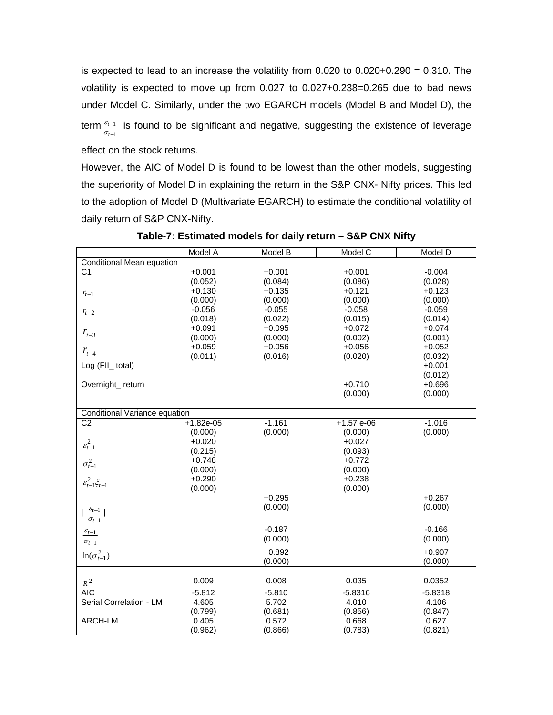is expected to lead to an increase the volatility from 0.020 to 0.020+0.290 = 0.310. The volatility is expected to move up from 0.027 to 0.027+0.238=0.265 due to bad news under Model C. Similarly, under the two EGARCH models (Model B and Model D), the term $\frac{\varepsilon_{t-1}}{\sigma_{t-1}}$ 1 − − *t t*  $\frac{\varepsilon_{t-1}}{\sigma_{t-1}}$  is found to be significant and negative, suggesting the existence of leverage effect on the stock returns.

However, the AIC of Model D is found to be lowest than the other models, suggesting the superiority of Model D in explaining the return in the S&P CNX- Nifty prices. This led to the adoption of Model D (Multivariate EGARCH) to estimate the conditional volatility of daily return of S&P CNX-Nifty.

|                                                    | Model A     | Model B  | Model C     | Model D   |
|----------------------------------------------------|-------------|----------|-------------|-----------|
| Conditional Mean equation                          |             |          |             |           |
| $\overline{C1}$                                    | $+0.001$    | $+0.001$ | $+0.001$    | $-0.004$  |
|                                                    | (0.052)     | (0.084)  | (0.086)     | (0.028)   |
| $r_{t-1}$                                          | $+0.130$    | $+0.135$ | $+0.121$    | $+0.123$  |
|                                                    | (0.000)     | (0.000)  | (0.000)     | (0.000)   |
| $r_{t-2}$                                          | $-0.056$    | $-0.055$ | $-0.058$    | $-0.059$  |
|                                                    | (0.018)     | (0.022)  | (0.015)     | (0.014)   |
| $r_{t-3}$                                          | $+0.091$    | $+0.095$ | $+0.072$    | $+0.074$  |
|                                                    | (0.000)     | (0.000)  | (0.002)     | (0.001)   |
| $r_{t-4}$                                          | $+0.059$    | $+0.056$ | $+0.056$    | $+0.052$  |
|                                                    | (0.011)     | (0.016)  | (0.020)     | (0.032)   |
| Log (FII_ total)                                   |             |          |             | $+0.001$  |
|                                                    |             |          |             | (0.012)   |
| Overnight_return                                   |             |          | $+0.710$    | $+0.696$  |
|                                                    |             |          | (0.000)     | (0.000)   |
|                                                    |             |          |             |           |
| Conditional Variance equation                      |             |          |             |           |
| C <sub>2</sub>                                     | $+1.82e-05$ | $-1.161$ | $+1.57e-06$ | $-1.016$  |
|                                                    | (0.000)     | (0.000)  | (0.000)     | (0.000)   |
| $\varepsilon_{t-1}^2$                              | $+0.020$    |          | $+0.027$    |           |
|                                                    | (0.215)     |          | (0.093)     |           |
| $\sigma_{t-1}^2$                                   | $+0.748$    |          | $+0.772$    |           |
|                                                    | (0.000)     |          | (0.000)     |           |
| $\varepsilon_{t-1}^2 \xi_{t-1}$                    | $+0.290$    |          | $+0.238$    |           |
|                                                    | (0.000)     |          | (0.000)     |           |
|                                                    |             | $+0.295$ |             | $+0.267$  |
|                                                    |             | (0.000)  |             | (0.000)   |
| $\mid \frac{\varepsilon_{t-1}}{\sigma_{t-1}} \mid$ |             |          |             |           |
| $\underline{\varepsilon_{t-1}}$                    |             | $-0.187$ |             | $-0.166$  |
| $\sigma_{t-1}$                                     |             | (0.000)  |             | (0.000)   |
|                                                    |             | $+0.892$ |             | $+0.907$  |
| $ln(\sigma_{t-1}^2)$                               |             | (0.000)  |             |           |
|                                                    |             |          |             | (0.000)   |
| $\overline{R}^2$                                   | 0.009       | 0.008    | 0.035       | 0.0352    |
|                                                    |             |          |             |           |
| <b>AIC</b>                                         | $-5.812$    | $-5.810$ | $-5.8316$   | $-5.8318$ |
| Serial Correlation - LM                            | 4.605       | 5.702    | 4.010       | 4.106     |
|                                                    | (0.799)     | (0.681)  | (0.856)     | (0.847)   |
| ARCH-LM                                            | 0.405       | 0.572    | 0.668       | 0.627     |
|                                                    | (0.962)     | (0.866)  | (0.783)     | (0.821)   |

**Table-7: Estimated models for daily return – S&P CNX Nifty**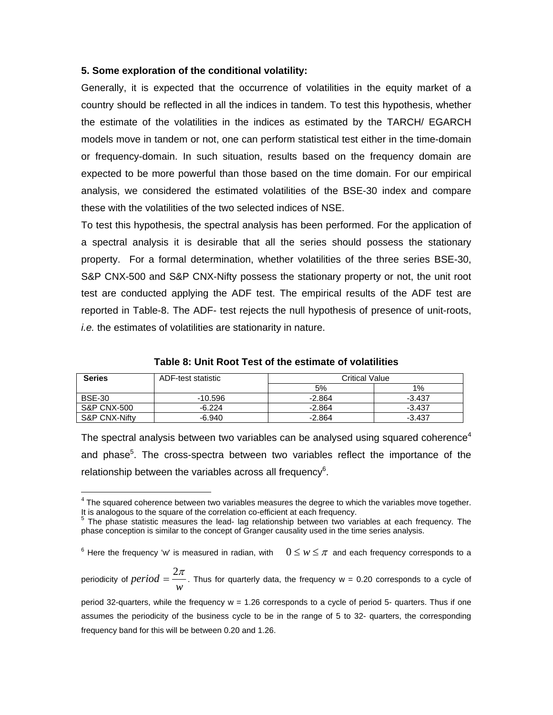## **5. Some exploration of the conditional volatility:**

 $\overline{a}$ 

Generally, it is expected that the occurrence of volatilities in the equity market of a country should be reflected in all the indices in tandem. To test this hypothesis, whether the estimate of the volatilities in the indices as estimated by the TARCH/ EGARCH models move in tandem or not, one can perform statistical test either in the time-domain or frequency-domain. In such situation, results based on the frequency domain are expected to be more powerful than those based on the time domain. For our empirical analysis, we considered the estimated volatilities of the BSE-30 index and compare these with the volatilities of the two selected indices of NSE.

To test this hypothesis, the spectral analysis has been performed. For the application of a spectral analysis it is desirable that all the series should possess the stationary property. For a formal determination, whether volatilities of the three series BSE-30, S&P CNX-500 and S&P CNX-Nifty possess the stationary property or not, the unit root test are conducted applying the ADF test. The empirical results of the ADF test are reported in Table-8. The ADF- test rejects the null hypothesis of presence of unit-roots, *i.e.* the estimates of volatilities are stationarity in nature.

| <b>Series</b>          | ADF-test statistic | <b>Critical Value</b> |          |  |
|------------------------|--------------------|-----------------------|----------|--|
|                        |                    | 5%                    | $1\%$    |  |
| <b>BSE-30</b>          | $-10.596$          | $-2.864$              | $-3.437$ |  |
| <b>S&amp;P CNX-500</b> | $-6.224$           | $-2.864$              | $-3.437$ |  |
| S&P CNX-Nifty          | -6.940             | $-2.864$              | $-3.437$ |  |

**Table 8: Unit Root Test of the estimate of volatilities**

The spectral analysis between two variables can be analysed using squared coherence<sup>4</sup> and phase<sup>5</sup>. The cross-spectra between two variables reflect the importance of the relationship between the variables across all frequency $6$ .

 $^6$  Here the frequency 'w' is measured in radian, with  $0 \leq w \leq \pi$  and each frequency corresponds to a

periodicity of  $period = \frac{w}{w}$  $period = \frac{2\pi}{\pi}$ . Thus for quarterly data, the frequency w = 0.20 corresponds to a cycle of

period 32-quarters, while the frequency w = 1.26 corresponds to a cycle of period 5- quarters. Thus if one assumes the periodicity of the business cycle to be in the range of 5 to 32- quarters, the corresponding frequency band for this will be between 0.20 and 1.26.

 $4$  The squared coherence between two variables measures the degree to which the variables move together. It is analogous to the square of the correlation co-efficient at each frequency.<br><sup>5</sup> The phase statistic massures the lead, leg relationship hetween two ver-

The phase statistic measures the lead- lag relationship between two variables at each frequency. The phase conception is similar to the concept of Granger causality used in the time series analysis.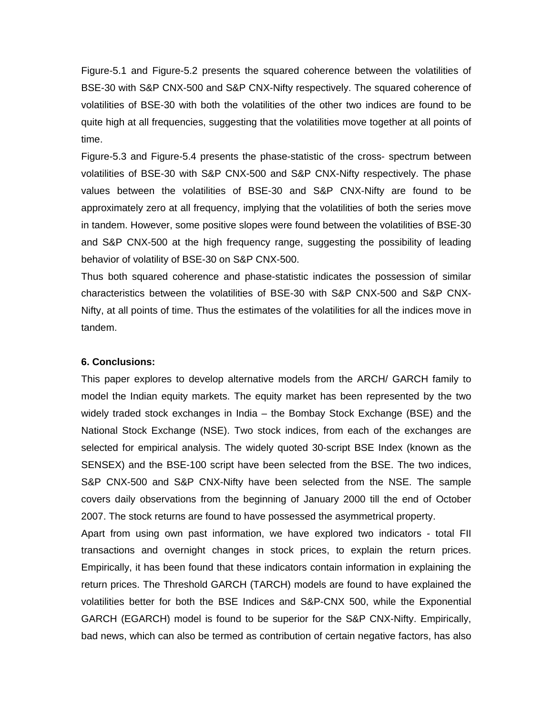Figure-5.1 and Figure-5.2 presents the squared coherence between the volatilities of BSE-30 with S&P CNX-500 and S&P CNX-Nifty respectively. The squared coherence of volatilities of BSE-30 with both the volatilities of the other two indices are found to be quite high at all frequencies, suggesting that the volatilities move together at all points of time.

Figure-5.3 and Figure-5.4 presents the phase-statistic of the cross- spectrum between volatilities of BSE-30 with S&P CNX-500 and S&P CNX-Nifty respectively. The phase values between the volatilities of BSE-30 and S&P CNX-Nifty are found to be approximately zero at all frequency, implying that the volatilities of both the series move in tandem. However, some positive slopes were found between the volatilities of BSE-30 and S&P CNX-500 at the high frequency range, suggesting the possibility of leading behavior of volatility of BSE-30 on S&P CNX-500.

Thus both squared coherence and phase-statistic indicates the possession of similar characteristics between the volatilities of BSE-30 with S&P CNX-500 and S&P CNX-Nifty, at all points of time. Thus the estimates of the volatilities for all the indices move in tandem.

# **6. Conclusions:**

This paper explores to develop alternative models from the ARCH/ GARCH family to model the Indian equity markets. The equity market has been represented by the two widely traded stock exchanges in India – the Bombay Stock Exchange (BSE) and the National Stock Exchange (NSE). Two stock indices, from each of the exchanges are selected for empirical analysis. The widely quoted 30-script BSE Index (known as the SENSEX) and the BSE-100 script have been selected from the BSE. The two indices, S&P CNX-500 and S&P CNX-Nifty have been selected from the NSE. The sample covers daily observations from the beginning of January 2000 till the end of October 2007. The stock returns are found to have possessed the asymmetrical property.

Apart from using own past information, we have explored two indicators - total FII transactions and overnight changes in stock prices, to explain the return prices. Empirically, it has been found that these indicators contain information in explaining the return prices. The Threshold GARCH (TARCH) models are found to have explained the volatilities better for both the BSE Indices and S&P-CNX 500, while the Exponential GARCH (EGARCH) model is found to be superior for the S&P CNX-Nifty. Empirically, bad news, which can also be termed as contribution of certain negative factors, has also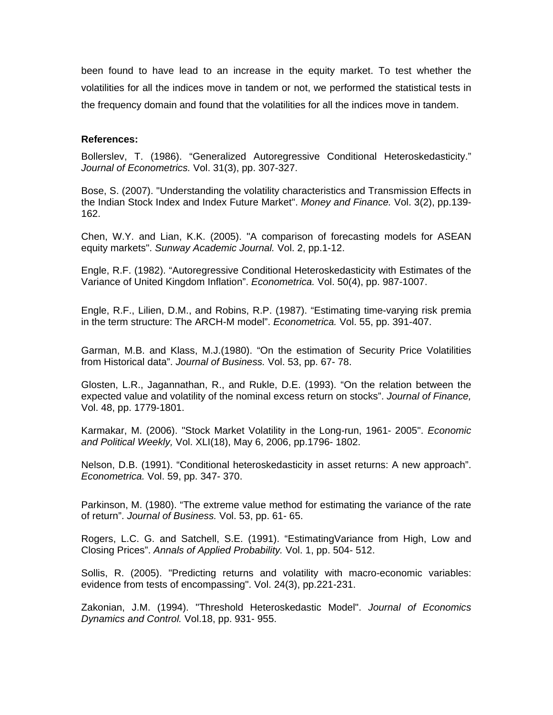been found to have lead to an increase in the equity market. To test whether the volatilities for all the indices move in tandem or not, we performed the statistical tests in the frequency domain and found that the volatilities for all the indices move in tandem.

### **References:**

Bollerslev, T. (1986). "Generalized Autoregressive Conditional Heteroskedasticity." *Journal of Econometrics.* Vol. 31(3), pp. 307-327.

Bose, S. (2007). "Understanding the volatility characteristics and Transmission Effects in the Indian Stock Index and Index Future Market". *Money and Finance.* Vol. 3(2), pp.139- 162.

Chen, W.Y. and Lian, K.K. (2005). "A comparison of forecasting models for ASEAN equity markets". *Sunway Academic Journal.* Vol. 2, pp.1-12.

Engle, R.F. (1982). "Autoregressive Conditional Heteroskedasticity with Estimates of the Variance of United Kingdom Inflation". *Econometrica.* Vol. 50(4), pp. 987-1007.

Engle, R.F., Lilien, D.M., and Robins, R.P. (1987). "Estimating time-varying risk premia in the term structure: The ARCH-M model". *Econometrica.* Vol. 55, pp. 391-407.

Garman, M.B. and Klass, M.J.(1980). "On the estimation of Security Price Volatilities from Historical data". *Journal of Business.* Vol. 53, pp. 67- 78.

Glosten, L.R., Jagannathan, R., and Rukle, D.E. (1993). "On the relation between the expected value and volatility of the nominal excess return on stocks". *Journal of Finance,* Vol. 48, pp. 1779-1801.

Karmakar, M. (2006). "Stock Market Volatility in the Long-run, 1961- 2005". *Economic and Political Weekly,* Vol. XLI(18), May 6, 2006, pp.1796- 1802.

Nelson, D.B. (1991). "Conditional heteroskedasticity in asset returns: A new approach". *Econometrica.* Vol. 59, pp. 347- 370.

Parkinson, M. (1980). "The extreme value method for estimating the variance of the rate of return". *Journal of Business.* Vol. 53, pp. 61- 65.

Rogers, L.C. G. and Satchell, S.E. (1991). "EstimatingVariance from High, Low and Closing Prices". *Annals of Applied Probability.* Vol. 1, pp. 504- 512.

Sollis, R. (2005). "Predicting returns and volatility with macro-economic variables: evidence from tests of encompassing". Vol. 24(3), pp.221-231.

Zakonian, J.M. (1994). "Threshold Heteroskedastic Model". *Journal of Economics Dynamics and Control.* Vol.18, pp. 931- 955.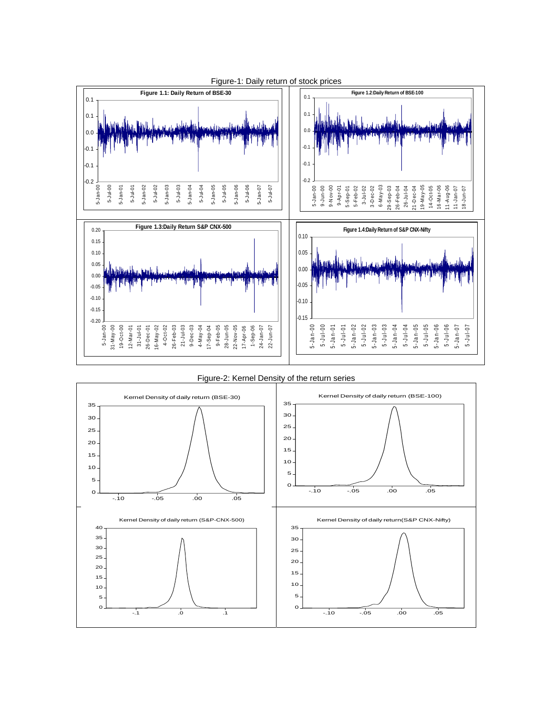

Figure-1: Daily return of stock prices

Figure-2: Kernel Density of the return series

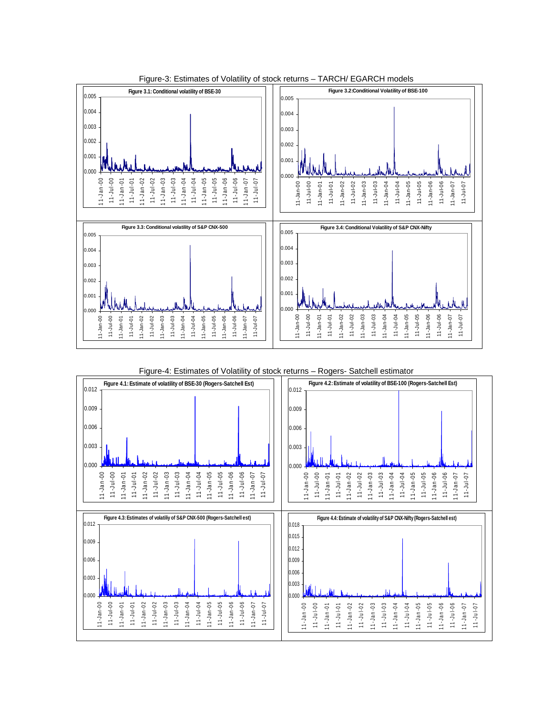

Figure-3: Estimates of Volatility of stock returns – TARCH/ EGARCH models

#### Figure-4: Estimates of Volatility of stock returns – Rogers- Satchell estimator